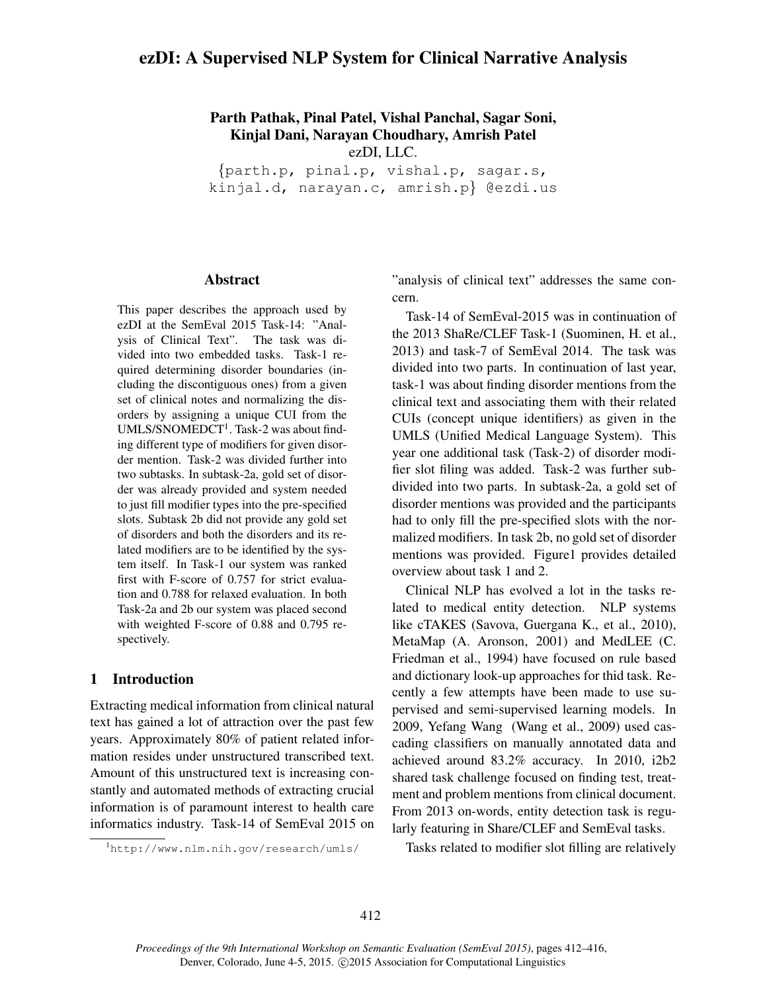# ezDI: A Supervised NLP System for Clinical Narrative Analysis

Parth Pathak, Pinal Patel, Vishal Panchal, Sagar Soni, Kinjal Dani, Narayan Choudhary, Amrish Patel ezDI, LLC.

{parth.p, pinal.p, vishal.p, sagar.s, kinjal.d, narayan.c, amrish.p} @ezdi.us

#### Abstract

This paper describes the approach used by ezDI at the SemEval 2015 Task-14: "Analysis of Clinical Text". The task was divided into two embedded tasks. Task-1 required determining disorder boundaries (including the discontiguous ones) from a given set of clinical notes and normalizing the disorders by assigning a unique CUI from the UMLS/SNOMEDCT<sup>1</sup>. Task-2 was about finding different type of modifiers for given disorder mention. Task-2 was divided further into two subtasks. In subtask-2a, gold set of disorder was already provided and system needed to just fill modifier types into the pre-specified slots. Subtask 2b did not provide any gold set of disorders and both the disorders and its related modifiers are to be identified by the system itself. In Task-1 our system was ranked first with F-score of 0.757 for strict evaluation and 0.788 for relaxed evaluation. In both Task-2a and 2b our system was placed second with weighted F-score of 0.88 and 0.795 respectively.

# 1 Introduction

Extracting medical information from clinical natural text has gained a lot of attraction over the past few years. Approximately 80% of patient related information resides under unstructured transcribed text. Amount of this unstructured text is increasing constantly and automated methods of extracting crucial information is of paramount interest to health care informatics industry. Task-14 of SemEval 2015 on

<sup>1</sup>http://www.nlm.nih.gov/research/umls/

"analysis of clinical text" addresses the same concern.

Task-14 of SemEval-2015 was in continuation of the 2013 ShaRe/CLEF Task-1 (Suominen, H. et al., 2013) and task-7 of SemEval 2014. The task was divided into two parts. In continuation of last year, task-1 was about finding disorder mentions from the clinical text and associating them with their related CUIs (concept unique identifiers) as given in the UMLS (Unified Medical Language System). This year one additional task (Task-2) of disorder modifier slot filing was added. Task-2 was further subdivided into two parts. In subtask-2a, a gold set of disorder mentions was provided and the participants had to only fill the pre-specified slots with the normalized modifiers. In task 2b, no gold set of disorder mentions was provided. Figure1 provides detailed overview about task 1 and 2.

Clinical NLP has evolved a lot in the tasks related to medical entity detection. NLP systems like cTAKES (Savova, Guergana K., et al., 2010), MetaMap (A. Aronson, 2001) and MedLEE (C. Friedman et al., 1994) have focused on rule based and dictionary look-up approaches for thid task. Recently a few attempts have been made to use supervised and semi-supervised learning models. In 2009, Yefang Wang (Wang et al., 2009) used cascading classifiers on manually annotated data and achieved around 83.2% accuracy. In 2010, i2b2 shared task challenge focused on finding test, treatment and problem mentions from clinical document. From 2013 on-words, entity detection task is regularly featuring in Share/CLEF and SemEval tasks.

Tasks related to modifier slot filling are relatively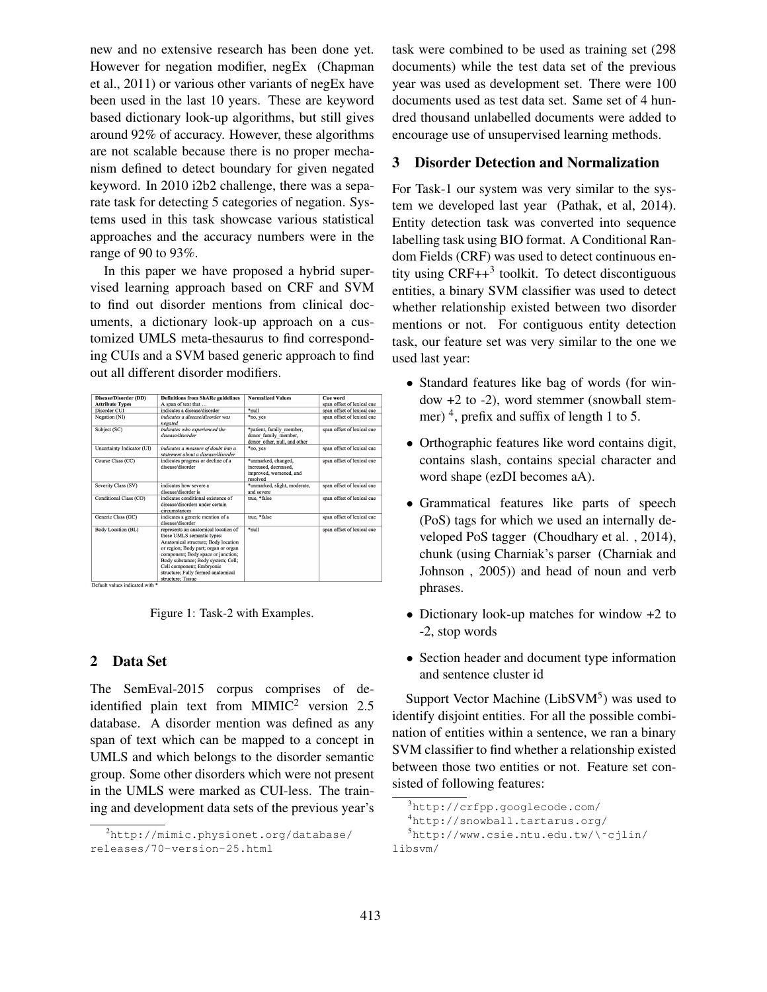new and no extensive research has been done yet. However for negation modifier, negEx (Chapman et al., 2011) or various other variants of negEx have been used in the last 10 years. These are keyword based dictionary look-up algorithms, but still gives around 92% of accuracy. However, these algorithms are not scalable because there is no proper mechanism defined to detect boundary for given negated keyword. In 2010 i2b2 challenge, there was a separate task for detecting 5 categories of negation. Systems used in this task showcase various statistical approaches and the accuracy numbers were in the range of 90 to 93%.

In this paper we have proposed a hybrid supervised learning approach based on CRF and SVM to find out disorder mentions from clinical documents, a dictionary look-up approach on a customized UMLS meta-thesaurus to find corresponding CUIs and a SVM based generic approach to find out all different disorder modifiers.

| Disease/Disorder (DD)      | <b>Definitions from ShARe guidelines</b>                                                                                                                                                                                                                                                                              | <b>Normalized Values</b>                                                            | <b>Cue word</b>            |
|----------------------------|-----------------------------------------------------------------------------------------------------------------------------------------------------------------------------------------------------------------------------------------------------------------------------------------------------------------------|-------------------------------------------------------------------------------------|----------------------------|
| <b>Attribute Types</b>     | A span of text that                                                                                                                                                                                                                                                                                                   |                                                                                     | span offset of lexical cue |
| Disorder CUI               | indicates a disease/disorder                                                                                                                                                                                                                                                                                          | *mill                                                                               | span offset of lexical cue |
| <b>Negation</b> (NI)       | indicates a disease/disorder was<br>negated                                                                                                                                                                                                                                                                           | *no, yes                                                                            | span offset of lexical cue |
| Subject (SC)               | indicates who experienced the<br>disease/disorder                                                                                                                                                                                                                                                                     | *patient, family member,<br>donor family member,<br>donor other, null, and other    | span offset of lexical cue |
| Uncertainty Indicator (UI) | indicates a measure of doubt into a<br>statement about a disease/disorder                                                                                                                                                                                                                                             | *no, yes                                                                            | span offset of lexical cue |
| Course Class (CC)          | indicates progress or decline of a<br>disease/disorder                                                                                                                                                                                                                                                                | *unmarked, changed,<br>increased, decreased,<br>improved, worsened, and<br>resolved | span offset of lexical cue |
| Severity Class (SV)        | indicates how severe a<br>disease/disorder is                                                                                                                                                                                                                                                                         | *unmarked, slight, moderate,<br>and severe                                          | span offset of lexical cue |
| Conditional Class (CO)     | indicates conditional existence of<br>disease/disorders under certain<br>circumstances                                                                                                                                                                                                                                | true. *false                                                                        | span offset of lexical cue |
| Generic Class (GC)         | indicates a generic mention of a<br>disease/disorder                                                                                                                                                                                                                                                                  | true. *false                                                                        | span offset of lexical cue |
| <b>Body Location (BL)</b>  | represents an anatomical location of<br>these UMLS semantic types:<br>Anatomical structure: Body location<br>or region; Body part; organ or organ<br>component; Body space or junction;<br>Body substance; Body system; Cell;<br>Cell component; Embryonic<br>structure; Fully formed anatomical<br>structure: Tissue | *mill                                                                               | span offset of lexical cue |

Figure 1: Task-2 with Examples.

# 2 Data Set

The SemEval-2015 corpus comprises of deidentified plain text from  $MIMIC<sup>2</sup>$  version 2.5 database. A disorder mention was defined as any span of text which can be mapped to a concept in UMLS and which belongs to the disorder semantic group. Some other disorders which were not present in the UMLS were marked as CUI-less. The training and development data sets of the previous year's task were combined to be used as training set (298 documents) while the test data set of the previous year was used as development set. There were 100 documents used as test data set. Same set of 4 hundred thousand unlabelled documents were added to encourage use of unsupervised learning methods.

### 3 Disorder Detection and Normalization

For Task-1 our system was very similar to the system we developed last year (Pathak, et al, 2014). Entity detection task was converted into sequence labelling task using BIO format. A Conditional Random Fields (CRF) was used to detect continuous entity using  $CRF++^3$  toolkit. To detect discontiguous entities, a binary SVM classifier was used to detect whether relationship existed between two disorder mentions or not. For contiguous entity detection task, our feature set was very similar to the one we used last year:

- Standard features like bag of words (for window +2 to -2), word stemmer (snowball stemmer)<sup>4</sup>, prefix and suffix of length 1 to 5.
- Orthographic features like word contains digit, contains slash, contains special character and word shape (ezDI becomes aA).
- Grammatical features like parts of speech (PoS) tags for which we used an internally developed PoS tagger (Choudhary et al. , 2014), chunk (using Charniak's parser (Charniak and Johnson , 2005)) and head of noun and verb phrases.
- Dictionary look-up matches for window +2 to -2, stop words
- Section header and document type information and sentence cluster id

Support Vector Machine (LibSVM<sup>5</sup>) was used to identify disjoint entities. For all the possible combination of entities within a sentence, we ran a binary SVM classifier to find whether a relationship existed between those two entities or not. Feature set consisted of following features:

<sup>2</sup>http://mimic.physionet.org/database/ releases/70-version-25.html

<sup>3</sup>http://crfpp.googlecode.com/

<sup>4</sup>http://snowball.tartarus.org/

 $5$ http://www.csie.ntu.edu.tw/\~cjlin/ libsvm/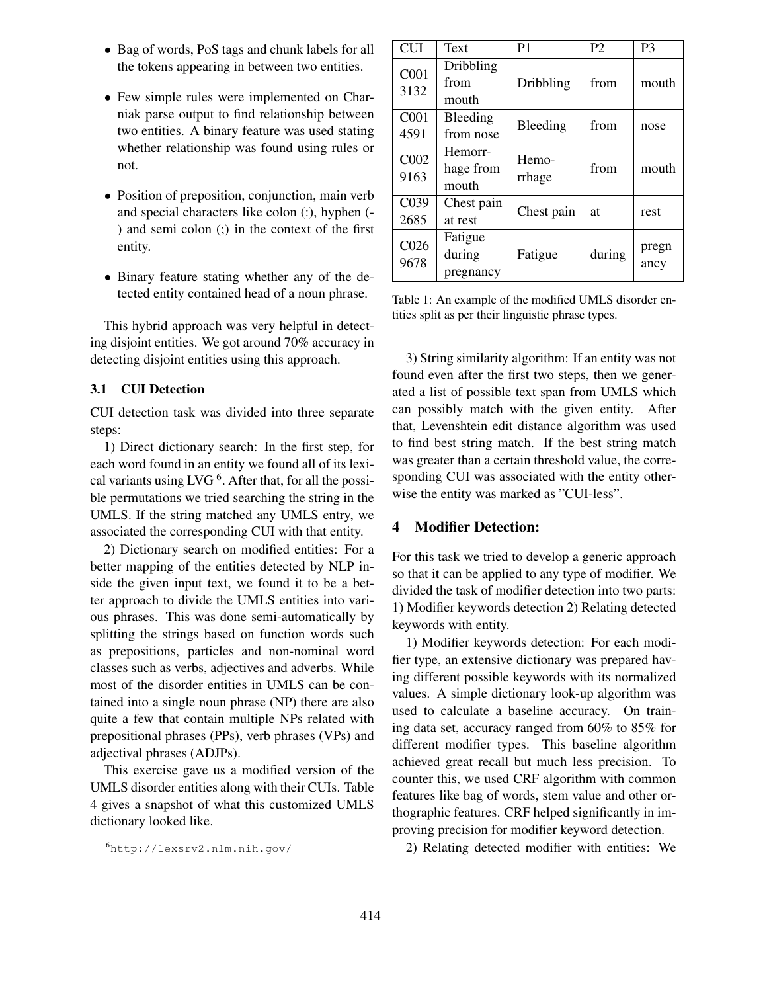- Bag of words, PoS tags and chunk labels for all the tokens appearing in between two entities.
- Few simple rules were implemented on Charniak parse output to find relationship between two entities. A binary feature was used stating whether relationship was found using rules or not.
- Position of preposition, conjunction, main verb and special characters like colon (:), hyphen (- ) and semi colon (;) in the context of the first entity.
- Binary feature stating whether any of the detected entity contained head of a noun phrase.

This hybrid approach was very helpful in detecting disjoint entities. We got around 70% accuracy in detecting disjoint entities using this approach.

## 3.1 CUI Detection

CUI detection task was divided into three separate steps:

1) Direct dictionary search: In the first step, for each word found in an entity we found all of its lexical variants using LVG  $<sup>6</sup>$ . After that, for all the possi-</sup> ble permutations we tried searching the string in the UMLS. If the string matched any UMLS entry, we associated the corresponding CUI with that entity.

2) Dictionary search on modified entities: For a better mapping of the entities detected by NLP inside the given input text, we found it to be a better approach to divide the UMLS entities into various phrases. This was done semi-automatically by splitting the strings based on function words such as prepositions, particles and non-nominal word classes such as verbs, adjectives and adverbs. While most of the disorder entities in UMLS can be contained into a single noun phrase (NP) there are also quite a few that contain multiple NPs related with prepositional phrases (PPs), verb phrases (VPs) and adjectival phrases (ADJPs).

This exercise gave us a modified version of the UMLS disorder entities along with their CUIs. Table 4 gives a snapshot of what this customized UMLS dictionary looked like.

| <b>CUI</b>               | Text                           | P <sub>1</sub>  | P <sub>2</sub> | P <sub>3</sub> |
|--------------------------|--------------------------------|-----------------|----------------|----------------|
| C <sub>001</sub><br>3132 | Dribbling<br>from<br>mouth     | Dribbling       | from           | mouth          |
| C <sub>001</sub><br>4591 | Bleeding<br>from nose          | Bleeding        | from           | nose           |
| C002<br>9163             | Hemorr-<br>hage from<br>mouth  | Hemo-<br>rrhage | from           | mouth          |
| C039<br>2685             | Chest pain<br>at rest          | Chest pain      | at             | rest           |
| C <sub>026</sub><br>9678 | Fatigue<br>during<br>pregnancy | Fatigue         | during         | pregn<br>ancy  |

Table 1: An example of the modified UMLS disorder entities split as per their linguistic phrase types.

3) String similarity algorithm: If an entity was not found even after the first two steps, then we generated a list of possible text span from UMLS which can possibly match with the given entity. After that, Levenshtein edit distance algorithm was used to find best string match. If the best string match was greater than a certain threshold value, the corresponding CUI was associated with the entity otherwise the entity was marked as "CUI-less".

## 4 Modifier Detection:

For this task we tried to develop a generic approach so that it can be applied to any type of modifier. We divided the task of modifier detection into two parts: 1) Modifier keywords detection 2) Relating detected keywords with entity.

1) Modifier keywords detection: For each modifier type, an extensive dictionary was prepared having different possible keywords with its normalized values. A simple dictionary look-up algorithm was used to calculate a baseline accuracy. On training data set, accuracy ranged from 60% to 85% for different modifier types. This baseline algorithm achieved great recall but much less precision. To counter this, we used CRF algorithm with common features like bag of words, stem value and other orthographic features. CRF helped significantly in improving precision for modifier keyword detection.

2) Relating detected modifier with entities: We

<sup>6</sup>http://lexsrv2.nlm.nih.gov/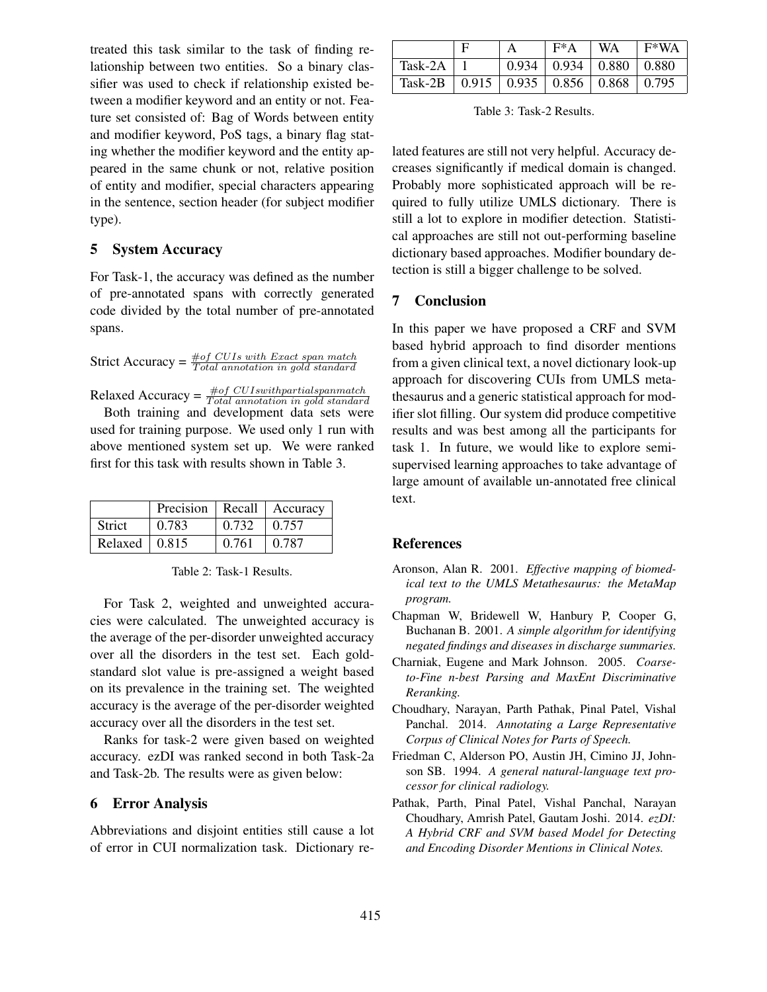treated this task similar to the task of finding relationship between two entities. So a binary classifier was used to check if relationship existed between a modifier keyword and an entity or not. Feature set consisted of: Bag of Words between entity and modifier keyword, PoS tags, a binary flag stating whether the modifier keyword and the entity appeared in the same chunk or not, relative position of entity and modifier, special characters appearing in the sentence, section header (for subject modifier type).

## 5 System Accuracy

For Task-1, the accuracy was defined as the number of pre-annotated spans with correctly generated code divided by the total number of pre-annotated spans.

Strict Accuracy =  $\frac{\text{\#of CUIs with Exact span match}}{\text{Total annotation in gold standard}}$ 

Relaxed Accuracy =  $\frac{\text{\#of } CUIswithpartial separation}{Total annotation in gold standard}$ 

Both training and development data sets were used for training purpose. We used only 1 run with above mentioned system set up. We were ranked first for this task with results shown in Table 3.

|                       |       |       | Precision   Recall   Accuracy |
|-----------------------|-------|-------|-------------------------------|
| <b>Strict</b>         | 0.783 | 0.732 | $\pm 0.757$                   |
| Relaxed $\vert$ 0.815 |       | 0.761 | 0.787                         |

Table 2: Task-1 Results.

For Task 2, weighted and unweighted accuracies were calculated. The unweighted accuracy is the average of the per-disorder unweighted accuracy over all the disorders in the test set. Each goldstandard slot value is pre-assigned a weight based on its prevalence in the training set. The weighted accuracy is the average of the per-disorder weighted accuracy over all the disorders in the test set.

Ranks for task-2 were given based on weighted accuracy. ezDI was ranked second in both Task-2a and Task-2b. The results were as given below:

#### 6 Error Analysis

Abbreviations and disjoint entities still cause a lot of error in CUI normalization task. Dictionary re-

|         |                                                               | $F^*A$                                   | - WA | $F*WA$ |
|---------|---------------------------------------------------------------|------------------------------------------|------|--------|
| Task-2A |                                                               | $0.934 \mid 0.934 \mid 0.880 \mid 0.880$ |      |        |
| Task-2B | $\vert 0.915 \vert 0.935 \vert 0.856 \vert 0.868 \vert 0.795$ |                                          |      |        |

Table 3: Task-2 Results.

lated features are still not very helpful. Accuracy decreases significantly if medical domain is changed. Probably more sophisticated approach will be required to fully utilize UMLS dictionary. There is still a lot to explore in modifier detection. Statistical approaches are still not out-performing baseline dictionary based approaches. Modifier boundary detection is still a bigger challenge to be solved.

### 7 Conclusion

In this paper we have proposed a CRF and SVM based hybrid approach to find disorder mentions from a given clinical text, a novel dictionary look-up approach for discovering CUIs from UMLS metathesaurus and a generic statistical approach for modifier slot filling. Our system did produce competitive results and was best among all the participants for task 1. In future, we would like to explore semisupervised learning approaches to take advantage of large amount of available un-annotated free clinical text.

## References

- Aronson, Alan R. 2001. *Effective mapping of biomedical text to the UMLS Metathesaurus: the MetaMap program.*
- Chapman W, Bridewell W, Hanbury P, Cooper G, Buchanan B. 2001. *A simple algorithm for identifying negated findings and diseases in discharge summaries.*
- Charniak, Eugene and Mark Johnson. 2005. *Coarseto-Fine n-best Parsing and MaxEnt Discriminative Reranking.*
- Choudhary, Narayan, Parth Pathak, Pinal Patel, Vishal Panchal. 2014. *Annotating a Large Representative Corpus of Clinical Notes for Parts of Speech.*
- Friedman C, Alderson PO, Austin JH, Cimino JJ, Johnson SB. 1994. *A general natural-language text processor for clinical radiology.*
- Pathak, Parth, Pinal Patel, Vishal Panchal, Narayan Choudhary, Amrish Patel, Gautam Joshi. 2014. *ezDI: A Hybrid CRF and SVM based Model for Detecting and Encoding Disorder Mentions in Clinical Notes.*